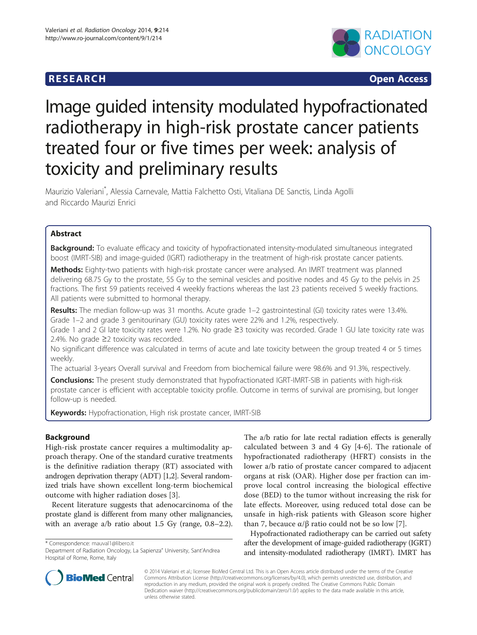# **RESEARCH CHINESE ARCH CHINESE ARCH CHINESE ARCH**



# Image guided intensity modulated hypofractionated radiotherapy in high-risk prostate cancer patients treated four or five times per week: analysis of toxicity and preliminary results

Maurizio Valeriani\* , Alessia Carnevale, Mattia Falchetto Osti, Vitaliana DE Sanctis, Linda Agolli and Riccardo Maurizi Enrici

# Abstract

Background: To evaluate efficacy and toxicity of hypofractionated intensity-modulated simultaneous integrated boost (IMRT-SIB) and image-guided (IGRT) radiotherapy in the treatment of high-risk prostate cancer patients.

Methods: Eighty-two patients with high-risk prostate cancer were analysed. An IMRT treatment was planned delivering 68.75 Gy to the prostate, 55 Gy to the seminal vesicles and positive nodes and 45 Gy to the pelvis in 25 fractions. The first 59 patients received 4 weekly fractions whereas the last 23 patients received 5 weekly fractions. All patients were submitted to hormonal therapy.

Results: The median follow-up was 31 months. Acute grade 1–2 gastrointestinal (GI) toxicity rates were 13.4%. Grade 1–2 and grade 3 genitourinary (GU) toxicity rates were 22% and 1.2%, respectively.

Grade 1 and 2 GI late toxicity rates were 1.2%. No grade ≥3 toxicity was recorded. Grade 1 GU late toxicity rate was 2.4%. No grade ≥2 toxicity was recorded.

No significant difference was calculated in terms of acute and late toxicity between the group treated 4 or 5 times weekly.

The actuarial 3-years Overall survival and Freedom from biochemical failure were 98.6% and 91.3%, respectively.

**Conclusions:** The present study demonstrated that hypofractionated IGRT-IMRT-SIB in patients with high-risk prostate cancer is efficient with acceptable toxicity profile. Outcome in terms of survival are promising, but longer follow-up is needed.

Keywords: Hypofractionation, High risk prostate cancer, IMRT-SIB

# Background

High-risk prostate cancer requires a multimodality approach therapy. One of the standard curative treatments is the definitive radiation therapy (RT) associated with androgen deprivation therapy (ADT) [[1,2](#page-5-0)]. Several randomized trials have shown excellent long-term biochemical outcome with higher radiation doses [\[3](#page-5-0)].

Recent literature suggests that adenocarcinoma of the prostate gland is different from many other malignancies, with an average a/b ratio about 1.5 Gy (range, 0.8–2.2).

\* Correspondence: [mauval1@libero.it](mailto:mauval1@libero.it)

The a/b ratio for late rectal radiation effects is generally calculated between 3 and 4 Gy [[4-6\]](#page-5-0). The rationale of hypofractionated radiotherapy (HFRT) consists in the lower a/b ratio of prostate cancer compared to adjacent organs at risk (OAR). Higher dose per fraction can improve local control increasing the biological effective dose (BED) to the tumor without increasing the risk for late effects. Moreover, using reduced total dose can be unsafe in high-risk patients with Gleason score higher than 7, becauce  $\alpha/\beta$  ratio could not be so low [[7\]](#page-5-0).

Hypofractionated radiotherapy can be carried out safety after the development of image-guided radiotherapy (IGRT) and intensity-modulated radiotherapy (IMRT). IMRT has



© 2014 Valeriani et al.; licensee BioMed Central Ltd. This is an Open Access article distributed under the terms of the Creative Commons Attribution License [\(http://creativecommons.org/licenses/by/4.0\)](http://creativecommons.org/licenses/by/4.0), which permits unrestricted use, distribution, and reproduction in any medium, provided the original work is properly credited. The Creative Commons Public Domain Dedication waiver [\(http://creativecommons.org/publicdomain/zero/1.0/](http://creativecommons.org/publicdomain/zero/1.0/)) applies to the data made available in this article, unless otherwise stated.

Department of Radiation Oncology, La Sapienza" University, Sant'Andrea Hospital of Rome, Rome, Italy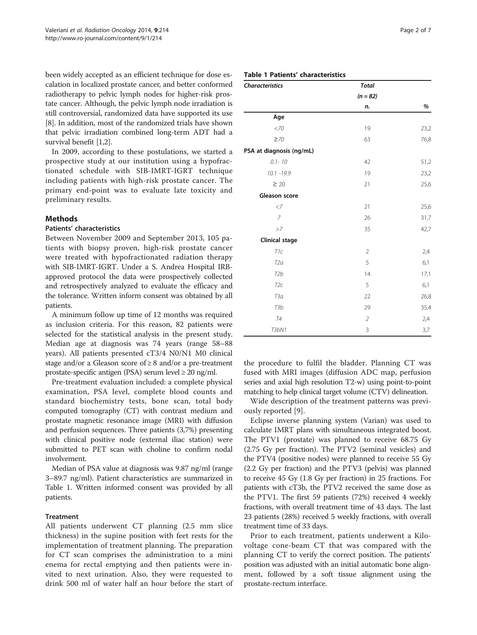been widely accepted as an efficient technique for dose escalation in localized prostate cancer, and better conformed radiotherapy to pelvic lymph nodes for higher-risk prostate cancer. Although, the pelvic lymph node irradiation is still controversial, randomized data have supported its use [[8\]](#page-5-0). In addition, most of the randomized trials have shown that pelvic irradiation combined long-term ADT had a survival benefit [\[1,2](#page-5-0)].

In 2009, according to these postulations, we started a prospective study at our institution using a hypofractionated schedule with SIB-IMRT-IGRT technique including patients with high-risk prostate cancer. The primary end-point was to evaluate late toxicity and preliminary results.

# **Methods**

# Patients' characteristics

Between November 2009 and September 2013, 105 patients with biopsy proven, high-risk prostate cancer were treated with hypofractionated radiation therapy with SIB-IMRT-IGRT. Under a S. Andrea Hospital IRBapproved protocol the data were prospectively collected and retrospectively analyzed to evaluate the efficacy and the tolerance. Written inform consent was obtained by all patients.

A minimum follow up time of 12 months was required as inclusion criteria. For this reason, 82 patients were selected for the statistical analysis in the present study. Median age at diagnosis was 74 years (range 58–88 years). All patients presented cT3/4 N0/N1 M0 clinical stage and/or a Gleason score of  $\geq 8$  and/or a pre-treatment prostate-specific antigen (PSA) serum level ≥ 20 ng/ml.

Pre-treatment evaluation included: a complete physical examination, PSA level, complete blood counts and standard biochemistry tests, bone scan, total body computed tomography (CT) with contrast medium and prostate magnetic resonance image (MRI) with diffusion and perfusion sequences. Three patients (3,7%) presenting with clinical positive node (external iliac station) were submitted to PET scan with choline to confirm nodal involvement.

Median of PSA value at diagnosis was 9.87 ng/ml (range 3–89.7 ng/ml). Patient characteristics are summarized in Table 1. Written informed consent was provided by all patients.

# **Treatment**

All patients underwent CT planning (2.5 mm slice thickness) in the supine position with feet rests for the implementation of treatment planning. The preparation for CT scan comprises the administration to a mini enema for rectal emptying and then patients were invited to next urination. Also, they were requested to drink 500 ml of water half an hour before the start of

# Table 1 Patients' characteristics

| <b>Characteristics</b>   | <b>Total</b>   |      |
|--------------------------|----------------|------|
|                          | $(n = 82)$     |      |
|                          | n.             | %    |
| Age                      |                |      |
| $<$ 70                   | 19             | 23,2 |
| $\geq 70$                | 63             | 76,8 |
| PSA at diagnosis (ng/mL) |                |      |
| $0.1 - 10$               | 42             | 51,2 |
| $10.1 - 19.9$            | 19             | 23,2 |
| $\geq 20$                | 21             | 25,6 |
| Gleason score            |                |      |
| $\langle 7$              | 21             | 25,6 |
| $\overline{7}$           | 26             | 31,7 |
| >7                       | 35             | 42,7 |
| <b>Clinical stage</b>    |                |      |
| T <sub>1</sub> c         | $\overline{2}$ | 2,4  |
| T <sub>2a</sub>          | 5              | 6,1  |
| T <sub>2</sub> b         | 14             | 17,1 |
| T <sub>2c</sub>          | 5              | 6,1  |
| ТЗа                      | 22             | 26,8 |
| T <sub>3</sub> b         | 29             | 35,4 |
| <b>T4</b>                | $\overline{2}$ | 2,4  |
| <b>T3bN1</b>             | 3              | 3,7  |

the procedure to fulfil the bladder. Planning CT was fused with MRI images (diffusion ADC map, perfusion series and axial high resolution T2-w) using point-to-point matching to help clinical target volume (CTV) delineation.

Wide description of the treatment patterns was previously reported [\[9](#page-5-0)].

Eclipse inverse planning system (Varian) was used to calculate IMRT plans with simultaneous integrated boost. The PTV1 (prostate) was planned to receive 68.75 Gy (2.75 Gy per fraction). The PTV2 (seminal vesicles) and the PTV4 (positive nodes) were planned to receive 55 Gy (2.2 Gy per fraction) and the PTV3 (pelvis) was planned to receive 45 Gy (1.8 Gy per fraction) in 25 fractions. For patients with cT3b, the PTV2 received the same dose as the PTV1. The first 59 patients (72%) received 4 weekly fractions, with overall treatment time of 43 days. The last 23 patients (28%) received 5 weekly fractions, with overall treatment time of 33 days.

Prior to each treatment, patients underwent a Kilovoltage cone-beam CT that was compared with the planning CT to verify the correct position. The patients' position was adjusted with an initial automatic bone alignment, followed by a soft tissue alignment using the prostate-rectum interface.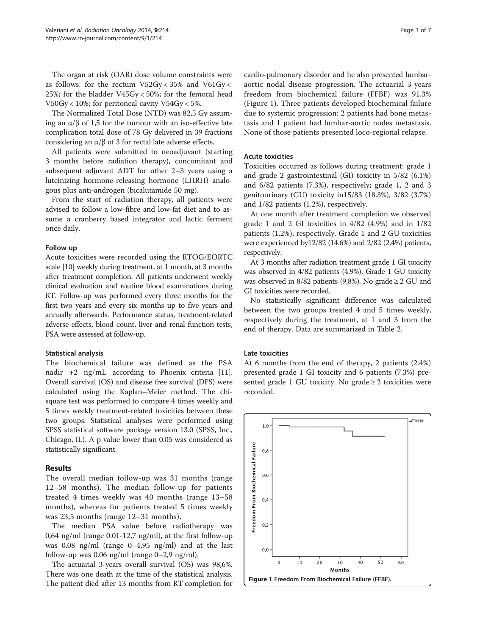The organ at risk (OAR) dose volume constraints were as follows: for the rectum V52Gy < 35% and V61Gy < 25%; for the bladder V45Gy < 50%; for the femoral head V50Gy < 10%; for peritoneal cavity V54Gy < 5%.

The Normalized Total Dose (NTD) was 82,5 Gy assuming an  $\alpha/\beta$  of 1,5 for the tumour with an iso-effective late complication total dose of 78 Gy delivered in 39 fractions considering an α/β of 3 for rectal late adverse effects.

All patients were submitted to neoadjuvant (starting 3 months before radiation therapy), concomitant and subsequent adjuvant ADT for other 2–3 years using a luteinizing hormone-releasing hormone (LHRH) analogous plus anti-androgen (bicalutamide 50 mg).

From the start of radiation therapy, all patients were advised to follow a low-fibre and low-fat diet and to assume a cranberry based integrator and lactic ferment once daily.

#### Follow up

Acute toxicities were recorded using the RTOG/EORTC scale [\[10](#page-5-0)] weekly during treatment, at 1 month, at 3 months after treatment completion. All patients underwent weekly clinical evaluation and routine blood examinations during RT. Follow-up was performed every three months for the first two years and every six months up to five years and annually afterwards. Performance status, treatment-related adverse effects, blood count, liver and renal function tests, PSA were assessed at follow-up.

#### Statistical analysis

The biochemical failure was defined as the PSA nadir +2 ng/mL according to Phoenix criteria [[11](#page-5-0)]. Overall survival (OS) and disease free survival (DFS) were calculated using the Kaplan–Meier method. The chisquare test was performed to compare 4 times weekly and 5 times weekly treatment-related toxicities between these two groups. Statistical analyses were performed using SPSS statistical software package version 13.0 (SPSS, Inc., Chicago, IL). A p value lower than 0.05 was considered as statistically significant.

#### Results

The overall median follow-up was 31 months (range 12–58 months). The median follow-up for patients treated 4 times weekly was 40 months (range 13–58 months), whereas for patients treated 5 times weekly was 23,5 months (range 12–31 months).

The median PSA value before radiotherapy was 0,64 ng/ml (range 0.01-12,7 ng/ml), at the first follow-up was 0.08 ng/ml (range 0–4,95 ng/ml) and at the last follow-up was  $0.06$  ng/ml (range  $0-2.9$  ng/ml).

The actuarial 3-years overall survival (OS) was 98,6%. There was one death at the time of the statistical analysis. The patient died after 13 months from RT completion for

cardio-pulmonary disorder and he also presented lumbaraortic nodal disease progression. The actuarial 3-years freedom from biochemical failure (FFBF) was 91,3% (Figure 1). Three patients developed biochemical failure due to systemic progression: 2 patients had bone metastasis and 1 patient had lumbar-aortic nodes metastasis. None of those patients presented loco-regional relapse.

## Acute toxicities

Toxicities occurred as follows during treatment: grade 1 and grade 2 gastrointestinal (GI) toxicity in 5/82 (6.1%) and 6/82 patients (7.3%), respectively; grade 1, 2 and 3 genitourinary (GU) toxicity in15/83 (18.3%), 3/82 (3.7%) and 1/82 patients (1.2%), respectively.

At one month after treatment completion we observed grade 1 and 2 GI toxicities in 4/82 (4.9%) and in 1/82 patients (1.2%), respectively. Grade 1 and 2 GU toxicities were experienced by12/82 (14.6%) and 2/82 (2.4%) patients, respectively.

At 3 months after radiation treatment grade 1 GI toxicity was observed in 4/82 patients (4.9%). Grade 1 GU toxicity was observed in 8/82 patients (9,8%). No grade  $\geq 2$  GU and GI toxicities were recorded.

No statistically significant difference was calculated between the two groups treated 4 and 5 times weekly, respectively during the treatment, at 1 and 3 from the end of therapy. Data are summarized in Table [2.](#page-3-0)

#### Late toxicities

At 6 months from the end of therapy, 2 patients (2.4%) presented grade 1 GI toxicity and 6 patients (7.3%) presented grade 1 GU toxicity. No grade  $\geq 2$  toxicities were recorded.

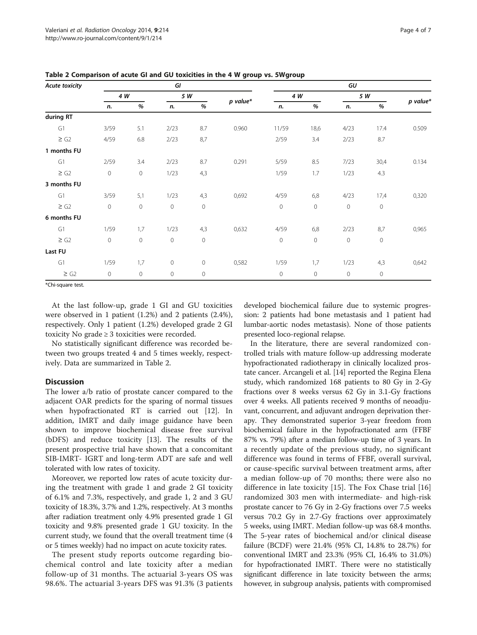| <b>Acute toxicity</b> |             | GI          |                     |             |            | GU          |                     |                |             |          |
|-----------------------|-------------|-------------|---------------------|-------------|------------|-------------|---------------------|----------------|-------------|----------|
|                       | 4 W         |             | 5 W                 |             |            | 4 W         |                     | 5 W            |             |          |
|                       | n.          | %           | n.                  | %           | $p$ value* | n.          | %                   | n.             | %           | p value* |
| during RT             |             |             |                     |             |            |             |                     |                |             |          |
| G1                    | 3/59        | 5.1         | 2/23                | 8.7         | 0.960      | 11/59       | 18,6                | 4/23           | 17.4        | 0.509    |
| $\geq$ G2             | 4/59        | 6.8         | 2/23                | 8,7         |            | 2/59        | 3.4                 | 2/23           | 8.7         |          |
| 1 months FU           |             |             |                     |             |            |             |                     |                |             |          |
| G1                    | 2/59        | 3.4         | 2/23                | 8.7         | 0.291      | 5/59        | 8.5                 | 7/23           | 30,4        | 0.134    |
| $\ge$ G2              | $\mathbf 0$ | $\mathbf 0$ | 1/23                | 4,3         |            | 1/59        | 1.7                 | 1/23           | 4.3         |          |
| 3 months FU           |             |             |                     |             |            |             |                     |                |             |          |
| G1                    | 3/59        | 5,1         | 1/23                | 4,3         | 0,692      | 4/59        | 6,8                 | 4/23           | 17,4        | 0,320    |
| $\ge$ G2              | $\mathbf 0$ | $\mathbf 0$ | $\overline{0}$      | $\mathbf 0$ |            | $\mathbb O$ | $\mathsf{O}\xspace$ | $\overline{0}$ | $\mathbf 0$ |          |
| 6 months FU           |             |             |                     |             |            |             |                     |                |             |          |
| G1                    | 1/59        | 1,7         | 1/23                | 4,3         | 0,632      | 4/59        | 6,8                 | 2/23           | 8,7         | 0,965    |
| $\ge$ G2              | $\mathbf 0$ | $\mathbf 0$ | $\mathbf 0$         | $\mathbf 0$ |            | $\mathbb O$ | $\mathsf{O}\xspace$ | $\mathbf 0$    | 0           |          |
| Last FU               |             |             |                     |             |            |             |                     |                |             |          |
| G1                    | 1/59        | 1,7         | $\mathsf{O}\xspace$ | $\mathbf 0$ | 0,582      | 1/59        | 1,7                 | 1/23           | 4,3         | 0,642    |
| $\ge$ G2              | $\circ$     | $\circ$     | $\mathbf 0$         | $\circ$     |            | $\mathbf 0$ | $\circ$             | $\circ$        | $\mathbf 0$ |          |

<span id="page-3-0"></span>Table 2 Comparison of acute GI and GU toxicities in the 4 W group vs. 5Wgroup

\*Chi-square test.

At the last follow-up, grade 1 GI and GU toxicities were observed in 1 patient (1.2%) and 2 patients (2.4%), respectively. Only 1 patient (1.2%) developed grade 2 GI toxicity No grade ≥ 3 toxicities were recorded.

No statistically significant difference was recorded between two groups treated 4 and 5 times weekly, respectively. Data are summarized in Table 2.

# **Discussion**

The lower a/b ratio of prostate cancer compared to the adjacent OAR predicts for the sparing of normal tissues when hypofractionated RT is carried out [[12\]](#page-5-0). In addition, IMRT and daily image guidance have been shown to improve biochemical disease free survival (bDFS) and reduce toxicity [\[13](#page-5-0)]. The results of the present prospective trial have shown that a concomitant SIB-IMRT- IGRT and long-term ADT are safe and well tolerated with low rates of toxicity.

Moreover, we reported low rates of acute toxicity during the treatment with grade 1 and grade 2 GI toxicity of 6.1% and 7.3%, respectively, and grade 1, 2 and 3 GU toxicity of 18.3%, 3.7% and 1.2%, respectively. At 3 months after radiation treatment only 4.9% presented grade 1 GI toxicity and 9.8% presented grade 1 GU toxicity. In the current study, we found that the overall treatment time (4 or 5 times weekly) had no impact on acute toxicity rates.

The present study reports outcome regarding biochemical control and late toxicity after a median follow-up of 31 months. The actuarial 3-years OS was 98.6%. The actuarial 3-years DFS was 91.3% (3 patients developed biochemical failure due to systemic progression: 2 patients had bone metastasis and 1 patient had lumbar-aortic nodes metastasis). None of those patients presented loco-regional relapse.

In the literature, there are several randomized controlled trials with mature follow-up addressing moderate hypofractionated radiotherapy in clinically localized prostate cancer. Arcangeli et al. [\[14\]](#page-5-0) reported the Regina Elena study, which randomized 168 patients to 80 Gy in 2-Gy fractions over 8 weeks versus 62 Gy in 3.1-Gy fractions over 4 weeks. All patients received 9 months of neoadjuvant, concurrent, and adjuvant androgen deprivation therapy. They demonstrated superior 3-year freedom from biochemical failure in the hypofractionated arm (FFBF 87% vs. 79%) after a median follow-up time of 3 years. In a recently update of the previous study, no significant difference was found in terms of FFBF, overall survival, or cause-specific survival between treatment arms, after a median follow-up of 70 months; there were also no difference in late toxicity [\[15](#page-5-0)]. The Fox Chase trial [\[16](#page-5-0)] randomized 303 men with intermediate- and high-risk prostate cancer to 76 Gy in 2-Gy fractions over 7.5 weeks versus 70.2 Gy in 2.7-Gy fractions over approximately 5 weeks, using IMRT. Median follow-up was 68.4 months. The 5-year rates of biochemical and/or clinical disease failure (BCDF) were 21.4% (95% CI, 14.8% to 28.7%) for conventional IMRT and 23.3% (95% CI, 16.4% to 31.0%) for hypofractionated IMRT. There were no statistically significant difference in late toxicity between the arms; however, in subgroup analysis, patients with compromised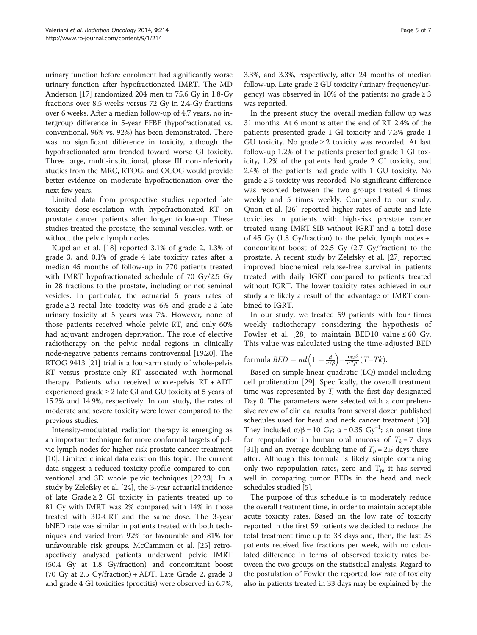urinary function before enrolment had significantly worse urinary function after hypofractionated IMRT. The MD Anderson [\[17\]](#page-5-0) randomized 204 men to 75.6 Gy in 1.8-Gy fractions over 8.5 weeks versus 72 Gy in 2.4-Gy fractions over 6 weeks. After a median follow-up of 4.7 years, no intergroup difference in 5-year FFBF (hypofractionated vs. conventional, 96% vs. 92%) has been demonstrated. There was no significant difference in toxicity, although the hypofractionated arm trended toward worse GI toxicity. Three large, multi-institutional, phase III non-inferiority studies from the MRC, RTOG, and OCOG would provide better evidence on moderate hypofractionation over the next few years.

Limited data from prospective studies reported late toxicity dose-escalation with hypofractionated RT on prostate cancer patients after longer follow-up. These studies treated the prostate, the seminal vesicles, with or without the pelvic lymph nodes.

Kupelian et al. [[18](#page-5-0)] reported 3.1% of grade 2, 1.3% of grade 3, and 0.1% of grade 4 late toxicity rates after a median 45 months of follow-up in 770 patients treated with IMRT hypofractionated schedule of 70 Gy/2.5 Gy in 28 fractions to the prostate, including or not seminal vesicles. In particular, the actuarial 5 years rates of grade  $\geq 2$  rectal late toxicity was 6% and grade  $\geq 2$  late urinary toxicity at 5 years was 7%. However, none of those patients received whole pelvic RT, and only 60% had adjuvant androgen deprivation. The role of elective radiotherapy on the pelvic nodal regions in clinically node-negative patients remains controversial [[19,20\]](#page-5-0). The RTOG 9413 [[21](#page-5-0)] trial is a four-arm study of whole-pelvis RT versus prostate-only RT associated with hormonal therapy. Patients who received whole-pelvis RT + ADT experienced grade  $\geq 2$  late GI and GU toxicity at 5 years of 15.2% and 14.9%, respectively. In our study, the rates of moderate and severe toxicity were lower compared to the previous studies.

Intensity-modulated radiation therapy is emerging as an important technique for more conformal targets of pelvic lymph nodes for higher-risk prostate cancer treatment [[10](#page-5-0)]. Limited clinical data exist on this topic. The current data suggest a reduced toxicity profile compared to conventional and 3D whole pelvic techniques [[22,23](#page-5-0)]. In a study by Zelefsky et al. [\[24\]](#page-5-0), the 3-year actuarial incidence of late Grade  $\geq 2$  GI toxicity in patients treated up to 81 Gy with IMRT was 2% compared with 14% in those treated with 3D-CRT and the same dose. The 3-year bNED rate was similar in patients treated with both techniques and varied from 92% for favourable and 81% for unfavourable risk groups. McCammon et al. [\[25\]](#page-5-0) retrospectively analysed patients underwent pelvic IMRT (50.4 Gy at 1.8 Gy/fraction) and concomitant boost (70 Gy at 2.5 Gy/fraction) + ADT. Late Grade 2, grade 3 and grade 4 GI toxicities (proctitis) were observed in 6.7%, 3.3%, and 3.3%, respectively, after 24 months of median follow-up. Late grade 2 GU toxicity (urinary frequency/urgency) was observed in 10% of the patients; no grade  $\geq 3$ was reported.

In the present study the overall median follow up was 31 months. At 6 months after the end of RT 2.4% of the patients presented grade 1 GI toxicity and 7.3% grade 1 GU toxicity. No grade  $\geq 2$  toxicity was recorded. At last follow-up 1.2% of the patients presented grade 1 GI toxicity, 1.2% of the patients had grade 2 GI toxicity, and 2.4% of the patients had grade with 1 GU toxicity. No grade ≥ 3 toxicity was recorded. No significant difference was recorded between the two groups treated 4 times weekly and 5 times weekly. Compared to our study, Quon et al. [\[26](#page-5-0)] reported higher rates of acute and late toxicities in patients with high-risk prostate cancer treated using IMRT-SIB without IGRT and a total dose of 45 Gy  $(1.8 \text{ Gy/fraction})$  to the pelvic lymph nodes + concomitant boost of 22.5 Gy (2.7 Gy/fraction) to the prostate. A recent study by Zelefsky et al. [[27\]](#page-6-0) reported improved biochemical relapse-free survival in patients treated with daily IGRT compared to patients treated without IGRT. The lower toxicity rates achieved in our study are likely a result of the advantage of IMRT combined to IGRT.

In our study, we treated 59 patients with four times weekly radiotherapy considering the hypothesis of Fowler et al. [[28](#page-6-0)] to maintain BED10 value  $\leq 60$  Gy. This value was calculated using the time-adjusted BED

formula 
$$
BED = nd \left( 1 = \frac{d}{\alpha/\beta} \right) - \frac{\log e^2}{\alpha T p} (T - Tk).
$$

Based on simple linear quadratic (LQ) model including cell proliferation [\[29](#page-6-0)]. Specifically, the overall treatment time was represented by T, with the first day designated Day 0. The parameters were selected with a comprehensive review of clinical results from several dozen published schedules used for head and neck cancer treatment [[30](#page-6-0)]. They included  $\alpha/\beta = 10$  Gy;  $\alpha = 0.35$  Gy<sup>-1</sup>; an onset time for repopulation in human oral mucosa of  $T_k = 7$  days [[31](#page-6-0)]; and an average doubling time of  $T_p = 2.5$  days thereafter. Although this formula is likely simple containing only two repopulation rates, zero and  $T_p$ , it has served well in comparing tumor BEDs in the head and neck schedules studied [\[5](#page-5-0)].

The purpose of this schedule is to moderately reduce the overall treatment time, in order to maintain acceptable acute toxicity rates. Based on the low rate of toxicity reported in the first 59 patients we decided to reduce the total treatment time up to 33 days and, then, the last 23 patients received five fractions per week, with no calculated difference in terms of observed toxicity rates between the two groups on the statistical analysis. Regard to the postulation of Fowler the reported low rate of toxicity also in patients treated in 33 days may be explained by the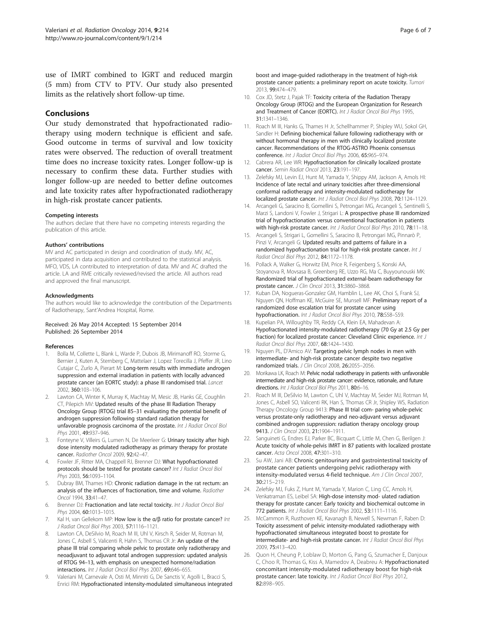<span id="page-5-0"></span>use of IMRT combined to IGRT and reduced margin (5 mm) from CTV to PTV. Our study also presented limits as the relatively short follow-up time.

# Conclusions

Our study demonstrated that hypofractionated radiotherapy using modern technique is efficient and safe. Good outcome in terms of survival and low toxicity rates were observed. The reduction of overall treatment time does no increase toxicity rates. Longer follow-up is necessary to confirm these data. Further studies with longer follow-up are needed to better define outcomes and late toxicity rates after hypofractionated radiotherapy in high-risk prostate cancer patients.

#### Competing interests

The authors declare that there have no competing interests regarding the publication of this article.

#### Authors' contributions

MV and AC participated in design and coordination of study. MV, AC, participated in data acquisition and contributed to the statistical analysis. MFO, VDS, LA contributed to interpretation of data. MV and AC drafted the article. LA and RME critically reviewed/revised the article. All authors read and approved the final manuscript.

#### Acknowledgments

The authors would like to acknowledge the contribution of the Departments of Radiotherapy, Sant'Andrea Hospital, Rome.

#### Received: 26 May 2014 Accepted: 15 September 2014 Published: 26 September 2014

#### References

- Bolla M, Collette L, Blank L, Warde P, Dubois JB, Mirimanoff RO, Storme G, Bernier J, Kuten A, Sternberg C, Mattelaer J, Lopez Torecilla J, Pfeffer JR, Lino Cutajar C, Zurlo A, Pierart M: Long-term results with immediate androgen suppression and external irradiation in patients with locally advanced prostate cancer (an EORTC study): a phase III randomised trial. Lancet 2002, 360:103–106.
- 2. Lawton CA, Winter K, Murray K, Machtay M, Mesic JB, Hanks GE, Coughlin CT, Pilepich MV: Updated results of the phase III Radiation Therapy Oncology Group (RTOG) trial 85–31 evaluating the potential benefit of androgen suppression following standard radiation therapy for unfavorable prognosis carcinoma of the prostate. Int J Radiat Oncol Biol Phys 2001, 49:937–946.
- 3. Fonteyne V, Villeirs G, Lumen N, De Meerleer G: Urinary toxicity after high dose intensity modulated radiotherapy as primary therapy for prostate cancer. Radiother Oncol 2009, 92:42–47.
- 4. Fowler JF, Ritter MA, Chappell RJ, Brenner DJ: What hypofractionated protocols should be tested for prostate cancer? Int J Radiat Oncol Biol Phys 2003, 56:1093-1104.
- 5. Dubray BM, Thames HD: Chronic radiation damage in the rat rectum: an analysis of the influences of fractionation, time and volume. Radiother Oncol 1994, 33:41–47.
- 6. Brenner DJ: Fractionation and late rectal toxicity. Int J Radiat Oncol Biol Phys 2004, 60:1013-1015.
- 7. Kal H, van Gellekom MP: How low is the  $\alpha/\beta$  ratio for prostate cancer? Int J Radiat Oncol Biol Phys 2003, 57:1116–1121.
- 8. Lawton CA, DeSilvio M, Roach M III, Uhl V, Kirsch R, Seider M, Rotman M, Jones C, Asbell S, Valicenti R, Hahn S, Thomas CR Jr: An update of the phase III trial comparing whole pelvic to prostate only radiotherapy and neoadjuvant to adjuvant total androgen suppression: updated analysis of RTOG 94–13, with emphasis on unexpected hormone/radiation interactions. Int J Radiat Oncol Biol Phys 2007, 69:646–655.
- 9. Valeriani M, Carnevale A, Osti M, Minniti G, De Sanctis V, Agolli L, Bracci S, Enrici RM: Hypofractionated intensity-modulated simultaneous integrated

boost and image-guided radiotherapy in the treatment of high-risk prostate cancer patients: a preliminary report on acute toxicity. Tumori 2013, 99:474–479.

- 10. Cox JD, Stetz J, Pajak TF: Toxicity criteria of the Radiation Therapy Oncology Group (RTOG) and the European Organization for Research and Treatment of Cancer (EORTC). Int J Radiat Oncol Biol Phys 1995, 31:1341–1346.
- 11. Roach M III, Hanks G, Thames H Jr, Schellhammer P, Shipley WU, Sokol GH, Sandler H: Defining biochemical failure following radiotherapy with or without hormonal therapy in men with clinically localized prostate cancer. Recommendations of the RTOG-ASTRO Phoenix consensus conference. Int J Radiat Oncol Biol Phys 2006, 65:965–974.
- 12. Cabrera AR, Lee WR: Hypofractionation for clinically localized prostate cancer. Semin Radiat Oncol 2013, 23:191–197.
- 13. Zelefsky MJ, Levin EJ, Hunt M, Yamada Y, Shippy AM, Jackson A, Amols HI: Incidence of late rectal and urinary toxicities after three-dimensional conformal radiotherapy and intensity-modulated radiotherapy for localized prostate cancer. Int J Radiat Oncol Biol Phys 2008, 70:1124–1129.
- 14. Arcangeli G, Saracino B, Gomellini S, Petrongari MG, Arcangeli S, Sentinelli S, Marzi S, Landoni V, Fowler J, Strigari L: A prospective phase III randomized trial of hypofractionation versus conventional fractionation in patients with high-risk prostate cancer. Int J Radiat Oncol Biol Phys 2010, 78:11-18.
- 15. Arcangeli S, Strigari L, Gomellini S, Saracino B, Petrongari MG, Pinnarò P, Pinzi V, Arcangeli G: Updated results and patterns of failure in a randomized hypofractionation trial for high-risk prostate cancer. Int J Radiat Oncol Biol Phys 2012, 84:1172–1178.
- 16. Pollack A, Walker G, Horwitz EM, Price R, Feigenberg S, Konski AA, Stoyanova R, Movsasa B, Greenberg RE, Uzzo RG, Ma C, Buyyounouski MK: Randomized trial of hypofractionated external-beam radiotherapy for prostate cancer. J Clin Oncol 2013, 31:3860–3868.
- 17. Kuban DA, Nogueras-Gonzalez GM, Hamblin L, Lee AK, Choi S, Frank SJ, Nguyen QN, Hoffman KE, McGuire SE, Munsell MF: Preliminary report of a randomized dose escalation trial for prostate cancer using hypofractionation. Int J Radiat Oncol Biol Phys 2010, 78:S58-S59
- 18. Kupelian PA, Willoughby TR, Reddy CA, Klein EA, Mahadevan A: Hypofractionated intensity-modulated radiotherapy (70 Gy at 2.5 Gy per fraction) for localized prostate cancer: Cleveland Clinic experience. Int J Radiat Oncol Biol Phys 2007, 68:1424–1430.
- 19. Nguyen PL, D'Amico AV: Targeting pelvic lymph nodes in men with intermediate- and high-risk prostate cancer despite two negative randomized trials. J Clin Oncol 2008, 26:2055–2056.
- 20. Morikawa LK, Roach M: Pelvic nodal radiotherapy in patients with unfavorable intermediate and high-risk prostate cancer: evidence, rationale, and future directions. Int J Radiat Oncol Biol Phys 2011, 80:6-16.
- 21. Roach M III, DeSilvio M, Lawton C, Uhl V, Machtay M, Seider MJ, Rotman M, Jones C, Asbell SO, Valicenti RK, Han S, Thomas CR Jr, Shipley WS, Radiation Therapy Oncology Group 9413: Phase III trial com- paring whole-pelvic versus prostate-only radiotherapy and neo-adjuvant versus adjuvant combined androgen suppression: radiation therapy oncology group 9413. J Clin Oncol 2003, 21:1904-1911.
- 22. Sanguineti G, Endres EJ, Parker BC, Bicquart C, Little M, Chen G, Berilgen J: Acute toxicity of whole-pelvis IMRT in 87 patients with localized prostate cancer. Acta Oncol 2008, 47:301–310.
- 23. Su AW, Jani AB: Chronic genitourinary and gastrointestinal toxicity of prostate cancer patients undergoing pelvic radiotherapy with intensity-modulated versus 4-field technique. Am J Clin Oncol 2007, 30:215–219.
- 24. Zelefsky MJ, Fuks Z, Hunt M, Yamada Y, Marion C, Ling CC, Amols H, Venkatraman ES, Leibel SA: High-dose intensity mod- ulated radiation therapy for prostate cancer: Early toxicity and biochemical outcome in 772 patients. Int J Radiat Oncol Biol Phys 2002, 53:1111-1116.
- 25. McCammon R, Rusthoven KE, Kavanagh B, Newell S, Newman F, Raben D: Toxicity assessment of pelvic intensity-modulated radiotherapy with hypofractionated simultaneous integrated boost to prostate for intermediate- and high-risk prostate cancer. Int J Radiat Oncol Biol Phys 2009, 75:413–420.
- 26. Quon H, Cheung P, Loblaw D, Morton G, Pang G, Szumacher E, Danjoux C, Choo R, Thomas G, Kiss A, Mamedov A, Deabreu A: Hypofractionated concomitant intensity-modulated radiotherapy boost for high-risk prostate cancer: late toxicity. Int J Radiat Oncol Biol Phys 2012, 82:898–905.